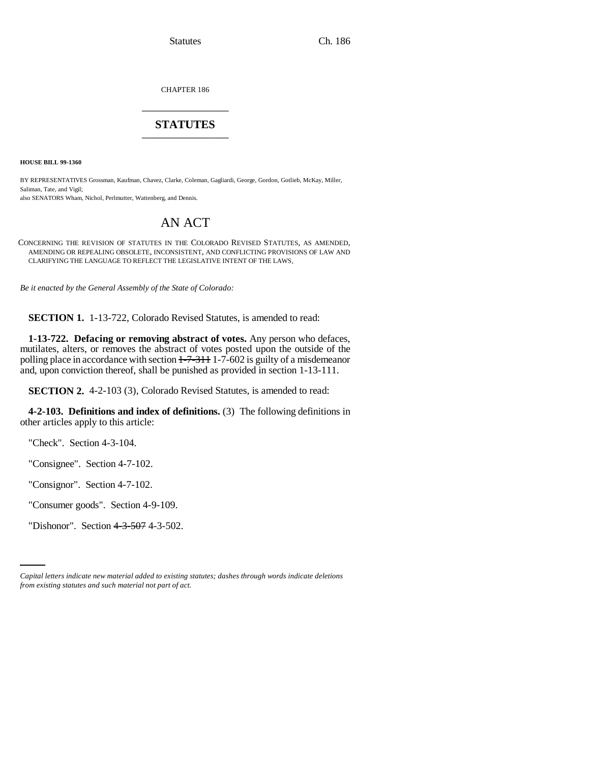CHAPTER 186 \_\_\_\_\_\_\_\_\_\_\_\_\_\_\_

# **STATUTES** \_\_\_\_\_\_\_\_\_\_\_\_\_\_\_

**HOUSE BILL 99-1360** 

BY REPRESENTATIVES Grossman, Kaufman, Chavez, Clarke, Coleman, Gagliardi, George, Gordon, Gotlieb, McKay, Miller, Saliman, Tate, and Vigil; also SENATORS Wham, Nichol, Perlmutter, Wattenberg, and Dennis.

# AN ACT

CONCERNING THE REVISION OF STATUTES IN THE COLORADO REVISED STATUTES, AS AMENDED, AMENDING OR REPEALING OBSOLETE, INCONSISTENT, AND CONFLICTING PROVISIONS OF LAW AND CLARIFYING THE LANGUAGE TO REFLECT THE LEGISLATIVE INTENT OF THE LAWS.

*Be it enacted by the General Assembly of the State of Colorado:*

**SECTION 1.** 1-13-722, Colorado Revised Statutes, is amended to read:

**1-13-722. Defacing or removing abstract of votes.** Any person who defaces, mutilates, alters, or removes the abstract of votes posted upon the outside of the polling place in accordance with section  $1-7-311$  1-7-602 is guilty of a misdemeanor and, upon conviction thereof, shall be punished as provided in section 1-13-111.

**SECTION 2.** 4-2-103 (3), Colorado Revised Statutes, is amended to read:

**4-2-103. Definitions and index of definitions.** (3) The following definitions in other articles apply to this article:

"Check". Section 4-3-104.

"Consignee". Section 4-7-102.

"Consignor". Section 4-7-102.

"Consumer goods". Section 4-9-109.

"Dishonor". Section 4-3-507 4-3-502.

*Capital letters indicate new material added to existing statutes; dashes through words indicate deletions from existing statutes and such material not part of act.*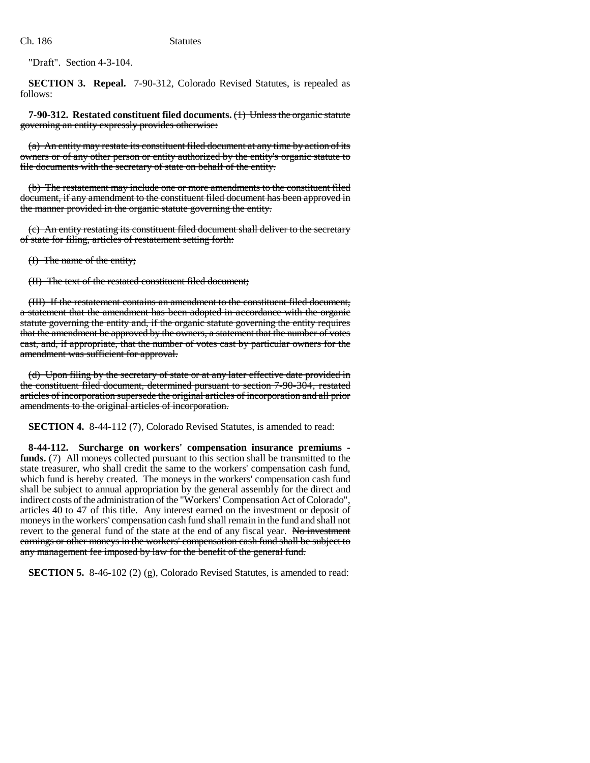"Draft". Section 4-3-104.

**SECTION 3. Repeal.** 7-90-312, Colorado Revised Statutes, is repealed as follows:

**7-90-312. Restated constituent filed documents.** (1) Unless the organic statute governing an entity expressly provides otherwise:

(a) An entity may restate its constituent filed document at any time by action of its owners or of any other person or entity authorized by the entity's organic statute to file documents with the secretary of state on behalf of the entity.

(b) The restatement may include one or more amendments to the constituent filed document, if any amendment to the constituent filed document has been approved in the manner provided in the organic statute governing the entity.

(c) An entity restating its constituent filed document shall deliver to the secretary of state for filing, articles of restatement setting forth:

(I) The name of the entity;

(II) The text of the restated constituent filed document;

(III) If the restatement contains an amendment to the constituent filed document, a statement that the amendment has been adopted in accordance with the organic statute governing the entity and, if the organic statute governing the entity requires that the amendment be approved by the owners, a statement that the number of votes cast, and, if appropriate, that the number of votes cast by particular owners for the amendment was sufficient for approval.

(d) Upon filing by the secretary of state or at any later effective date provided in the constituent filed document, determined pursuant to section 7-90-304, restated articles of incorporation supersede the original articles of incorporation and all prior amendments to the original articles of incorporation.

**SECTION 4.** 8-44-112 (7), Colorado Revised Statutes, is amended to read:

**8-44-112. Surcharge on workers' compensation insurance premiums funds.** (7) All moneys collected pursuant to this section shall be transmitted to the state treasurer, who shall credit the same to the workers' compensation cash fund, which fund is hereby created. The moneys in the workers' compensation cash fund shall be subject to annual appropriation by the general assembly for the direct and indirect costs of the administration of the "Workers' Compensation Act of Colorado", articles 40 to 47 of this title. Any interest earned on the investment or deposit of moneys in the workers' compensation cash fund shall remain in the fund and shall not revert to the general fund of the state at the end of any fiscal year. No investment earnings or other moneys in the workers' compensation cash fund shall be subject to any management fee imposed by law for the benefit of the general fund.

**SECTION 5.** 8-46-102 (2) (g), Colorado Revised Statutes, is amended to read: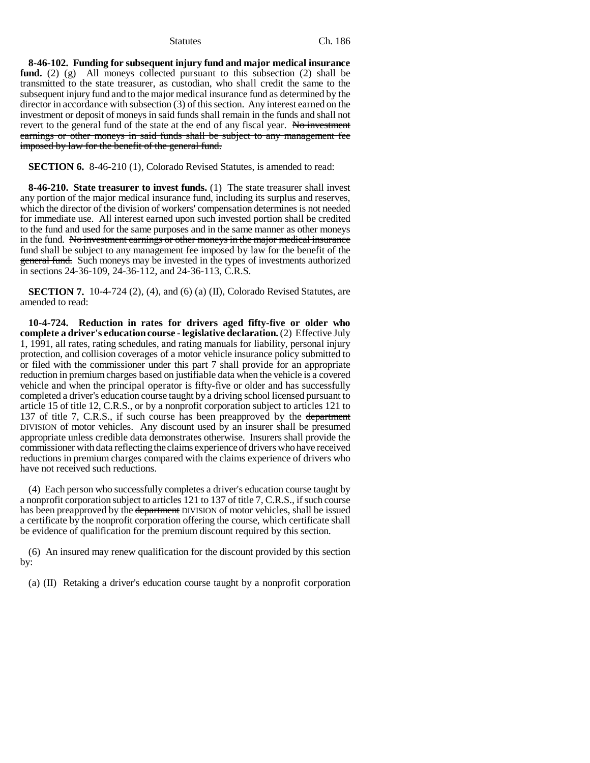**8-46-102. Funding for subsequent injury fund and major medical insurance fund.** (2) (g) All moneys collected pursuant to this subsection (2) shall be transmitted to the state treasurer, as custodian, who shall credit the same to the subsequent injury fund and to the major medical insurance fund as determined by the director in accordance with subsection (3) of this section. Any interest earned on the investment or deposit of moneys in said funds shall remain in the funds and shall not revert to the general fund of the state at the end of any fiscal year. No investment earnings or other moneys in said funds shall be subject to any management fee imposed by law for the benefit of the general fund.

**SECTION 6.** 8-46-210 (1), Colorado Revised Statutes, is amended to read:

**8-46-210. State treasurer to invest funds.** (1) The state treasurer shall invest any portion of the major medical insurance fund, including its surplus and reserves, which the director of the division of workers' compensation determines is not needed for immediate use. All interest earned upon such invested portion shall be credited to the fund and used for the same purposes and in the same manner as other moneys in the fund. No investment earnings or other moneys in the major medical insurance fund shall be subject to any management fee imposed by law for the benefit of the general fund. Such moneys may be invested in the types of investments authorized in sections 24-36-109, 24-36-112, and 24-36-113, C.R.S.

**SECTION 7.** 10-4-724 (2), (4), and (6) (a) (II), Colorado Revised Statutes, are amended to read:

**10-4-724. Reduction in rates for drivers aged fifty-five or older who complete a driver's education course - legislative declaration.** (2) Effective July 1, 1991, all rates, rating schedules, and rating manuals for liability, personal injury protection, and collision coverages of a motor vehicle insurance policy submitted to or filed with the commissioner under this part 7 shall provide for an appropriate reduction in premium charges based on justifiable data when the vehicle is a covered vehicle and when the principal operator is fifty-five or older and has successfully completed a driver's education course taught by a driving school licensed pursuant to article 15 of title 12, C.R.S., or by a nonprofit corporation subject to articles 121 to 137 of title 7, C.R.S., if such course has been preapproved by the department DIVISION of motor vehicles. Any discount used by an insurer shall be presumed appropriate unless credible data demonstrates otherwise. Insurers shall provide the commissioner with data reflecting the claims experience of drivers who have received reductions in premium charges compared with the claims experience of drivers who have not received such reductions.

(4) Each person who successfully completes a driver's education course taught by a nonprofit corporation subject to articles 121 to 137 of title 7, C.R.S., if such course has been preapproved by the <del>department</del> DIVISION of motor vehicles, shall be issued a certificate by the nonprofit corporation offering the course, which certificate shall be evidence of qualification for the premium discount required by this section.

(6) An insured may renew qualification for the discount provided by this section by:

(a) (II) Retaking a driver's education course taught by a nonprofit corporation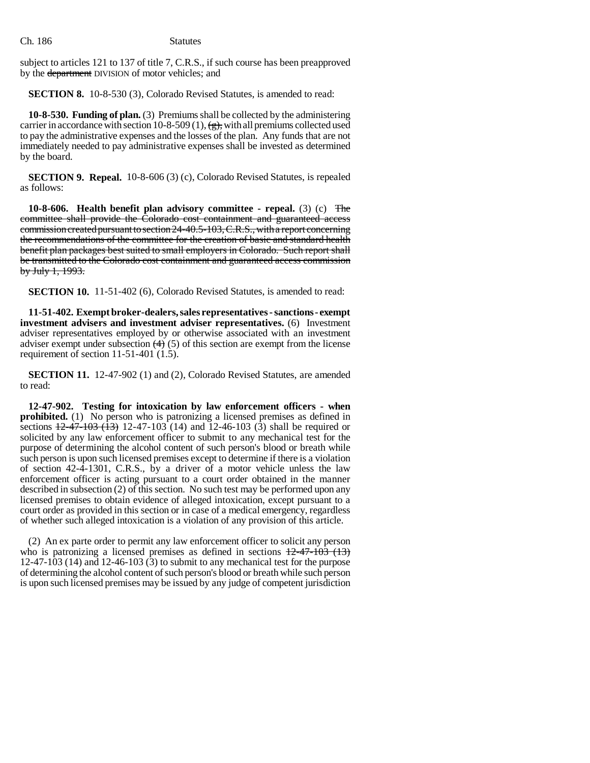subject to articles 121 to 137 of title 7, C.R.S., if such course has been preapproved by the department DIVISION of motor vehicles; and

**SECTION 8.** 10-8-530 (3), Colorado Revised Statutes, is amended to read:

**10-8-530. Funding of plan.** (3) Premiums shall be collected by the administering carrier in accordance with section 10-8-509 (1),  $\left(\frac{g}{g}\right)$ , with all premiums collected used to pay the administrative expenses and the losses of the plan. Any funds that are not immediately needed to pay administrative expenses shall be invested as determined by the board.

**SECTION 9. Repeal.** 10-8-606 (3) (c), Colorado Revised Statutes, is repealed as follows:

**10-8-606. Health benefit plan advisory committee - repeal.** (3) (c) The committee shall provide the Colorado cost containment and guaranteed access commission created pursuant to section 24-40.5-103, C.R.S., with a report concerning the recommendations of the committee for the creation of basic and standard health benefit plan packages best suited to small employers in Colorado. Such report shall be transmitted to the Colorado cost containment and guaranteed access commission by July 1, 1993.

**SECTION 10.** 11-51-402 (6), Colorado Revised Statutes, is amended to read:

**11-51-402. Exempt broker-dealers, sales representatives - sanctions - exempt investment advisers and investment adviser representatives.** (6) Investment adviser representatives employed by or otherwise associated with an investment adviser exempt under subsection  $(4)$  (5) of this section are exempt from the license requirement of section 11-51-401 (1.5).

**SECTION 11.** 12-47-902 (1) and (2), Colorado Revised Statutes, are amended to read:

**12-47-902. Testing for intoxication by law enforcement officers - when prohibited.** (1) No person who is patronizing a licensed premises as defined in sections  $\frac{12-47-103}{13}$  (13) 12-47-103 (14) and 12-46-103 (3) shall be required or solicited by any law enforcement officer to submit to any mechanical test for the purpose of determining the alcohol content of such person's blood or breath while such person is upon such licensed premises except to determine if there is a violation of section 42-4-1301, C.R.S., by a driver of a motor vehicle unless the law enforcement officer is acting pursuant to a court order obtained in the manner described in subsection (2) of this section. No such test may be performed upon any licensed premises to obtain evidence of alleged intoxication, except pursuant to a court order as provided in this section or in case of a medical emergency, regardless of whether such alleged intoxication is a violation of any provision of this article.

(2) An ex parte order to permit any law enforcement officer to solicit any person who is patronizing a licensed premises as defined in sections  $12-47-103$  (13)  $12-47-103$  (14) and 12-46-103 (3) to submit to any mechanical test for the purpose of determining the alcohol content of such person's blood or breath while such person is upon such licensed premises may be issued by any judge of competent jurisdiction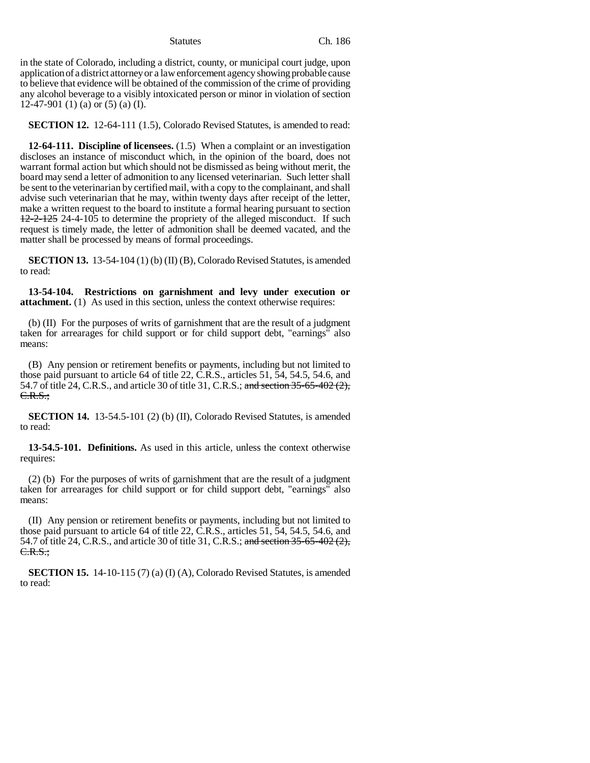in the state of Colorado, including a district, county, or municipal court judge, upon application of a district attorney or a law enforcement agency showing probable cause to believe that evidence will be obtained of the commission of the crime of providing any alcohol beverage to a visibly intoxicated person or minor in violation of section 12-47-901 (1) (a) or (5) (a) (I).

**SECTION 12.** 12-64-111 (1.5), Colorado Revised Statutes, is amended to read:

**12-64-111. Discipline of licensees.** (1.5) When a complaint or an investigation discloses an instance of misconduct which, in the opinion of the board, does not warrant formal action but which should not be dismissed as being without merit, the board may send a letter of admonition to any licensed veterinarian. Such letter shall be sent to the veterinarian by certified mail, with a copy to the complainant, and shall advise such veterinarian that he may, within twenty days after receipt of the letter, make a written request to the board to institute a formal hearing pursuant to section 12-2-125 24-4-105 to determine the propriety of the alleged misconduct. If such request is timely made, the letter of admonition shall be deemed vacated, and the matter shall be processed by means of formal proceedings.

**SECTION 13.** 13-54-104 (1) (b) (II) (B), Colorado Revised Statutes, is amended to read:

**13-54-104. Restrictions on garnishment and levy under execution or attachment.** (1) As used in this section, unless the context otherwise requires:

(b) (II) For the purposes of writs of garnishment that are the result of a judgment taken for arrearages for child support or for child support debt, "earnings" also means:

(B) Any pension or retirement benefits or payments, including but not limited to those paid pursuant to article 64 of title 22, C.R.S., articles 51, 54, 54.5, 54.6, and 54.7 of title 24, C.R.S., and article 30 of title 31, C.R.S.; and section 35-65-402 (2), C.R.S.;

**SECTION 14.** 13-54.5-101 (2) (b) (II), Colorado Revised Statutes, is amended to read:

**13-54.5-101. Definitions.** As used in this article, unless the context otherwise requires:

(2) (b) For the purposes of writs of garnishment that are the result of a judgment taken for arrearages for child support or for child support debt, "earnings" also means:

(II) Any pension or retirement benefits or payments, including but not limited to those paid pursuant to article 64 of title 22, C.R.S., articles 51, 54, 54.5, 54.6, and 54.7 of title 24, C.R.S., and article 30 of title 31, C.R.S.; and section 35-65-402 (2),  $C.R.S.:$ 

**SECTION 15.** 14-10-115 (7) (a) (I) (A), Colorado Revised Statutes, is amended to read: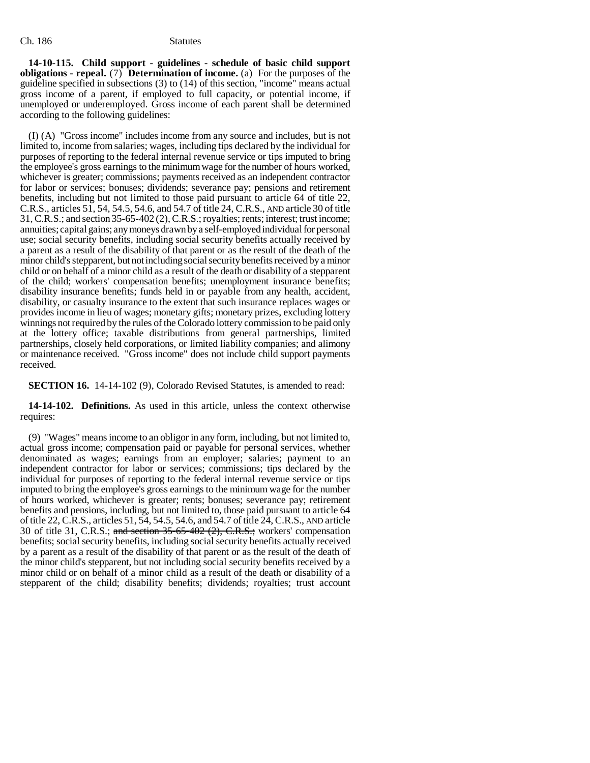**14-10-115. Child support - guidelines - schedule of basic child support obligations - repeal.** (7) **Determination of income.** (a) For the purposes of the guideline specified in subsections (3) to (14) of this section, "income" means actual gross income of a parent, if employed to full capacity, or potential income, if unemployed or underemployed. Gross income of each parent shall be determined according to the following guidelines:

(I) (A) "Gross income" includes income from any source and includes, but is not limited to, income from salaries; wages, including tips declared by the individual for purposes of reporting to the federal internal revenue service or tips imputed to bring the employee's gross earnings to the minimum wage for the number of hours worked, whichever is greater; commissions; payments received as an independent contractor for labor or services; bonuses; dividends; severance pay; pensions and retirement benefits, including but not limited to those paid pursuant to article 64 of title 22, C.R.S., articles 51, 54, 54.5, 54.6, and 54.7 of title 24, C.R.S., AND article 30 of title 31, C.R.S.; and section 35-65-402 (2), C.R.S.; royalties; rents; interest; trust income; annuities; capital gains; any moneys drawn by a self-employed individual for personal use; social security benefits, including social security benefits actually received by a parent as a result of the disability of that parent or as the result of the death of the minor child's stepparent, but not including social security benefits received by a minor child or on behalf of a minor child as a result of the death or disability of a stepparent of the child; workers' compensation benefits; unemployment insurance benefits; disability insurance benefits; funds held in or payable from any health, accident, disability, or casualty insurance to the extent that such insurance replaces wages or provides income in lieu of wages; monetary gifts; monetary prizes, excluding lottery winnings not required by the rules of the Colorado lottery commission to be paid only at the lottery office; taxable distributions from general partnerships, limited partnerships, closely held corporations, or limited liability companies; and alimony or maintenance received. "Gross income" does not include child support payments received.

**SECTION 16.** 14-14-102 (9), Colorado Revised Statutes, is amended to read:

**14-14-102. Definitions.** As used in this article, unless the context otherwise requires:

(9) "Wages" means income to an obligor in any form, including, but not limited to, actual gross income; compensation paid or payable for personal services, whether denominated as wages; earnings from an employer; salaries; payment to an independent contractor for labor or services; commissions; tips declared by the individual for purposes of reporting to the federal internal revenue service or tips imputed to bring the employee's gross earnings to the minimum wage for the number of hours worked, whichever is greater; rents; bonuses; severance pay; retirement benefits and pensions, including, but not limited to, those paid pursuant to article 64 of title 22, C.R.S., articles 51, 54, 54.5, 54.6, and 54.7 of title 24, C.R.S., AND article 30 of title 31, C.R.S.; and section  $35-65-402$  (2), C.R.S.; workers' compensation benefits; social security benefits, including social security benefits actually received by a parent as a result of the disability of that parent or as the result of the death of the minor child's stepparent, but not including social security benefits received by a minor child or on behalf of a minor child as a result of the death or disability of a stepparent of the child; disability benefits; dividends; royalties; trust account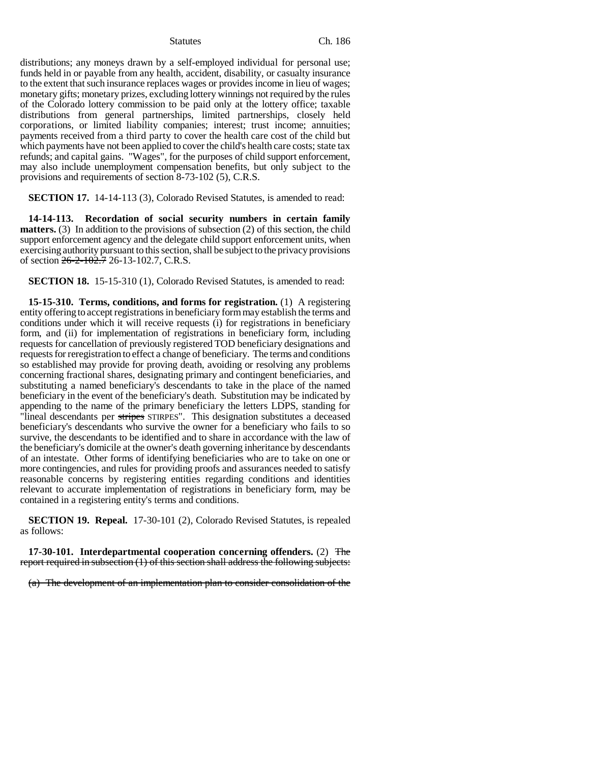distributions; any moneys drawn by a self-employed individual for personal use; funds held in or payable from any health, accident, disability, or casualty insurance to the extent that such insurance replaces wages or provides income in lieu of wages; monetary gifts; monetary prizes, excluding lottery winnings not required by the rules of the Colorado lottery commission to be paid only at the lottery office; taxable distributions from general partnerships, limited partnerships, closely held corporations, or limited liability companies; interest; trust income; annuities; payments received from a third party to cover the health care cost of the child but which payments have not been applied to cover the child's health care costs; state tax refunds; and capital gains. "Wages", for the purposes of child support enforcement, may also include unemployment compensation benefits, but only subject to the provisions and requirements of section 8-73-102 (5), C.R.S.

**SECTION 17.** 14-14-113 (3), Colorado Revised Statutes, is amended to read:

**14-14-113. Recordation of social security numbers in certain family matters.** (3) In addition to the provisions of subsection (2) of this section, the child support enforcement agency and the delegate child support enforcement units, when exercising authority pursuant to this section, shall be subject to the privacy provisions of section 26-2-102.7 26-13-102.7, C.R.S.

**SECTION 18.** 15-15-310 (1), Colorado Revised Statutes, is amended to read:

**15-15-310. Terms, conditions, and forms for registration.** (1) A registering entity offering to accept registrations in beneficiary form may establish the terms and conditions under which it will receive requests (i) for registrations in beneficiary form, and (ii) for implementation of registrations in beneficiary form, including requests for cancellation of previously registered TOD beneficiary designations and requests for reregistration to effect a change of beneficiary. The terms and conditions so established may provide for proving death, avoiding or resolving any problems concerning fractional shares, designating primary and contingent beneficiaries, and substituting a named beneficiary's descendants to take in the place of the named beneficiary in the event of the beneficiary's death. Substitution may be indicated by appending to the name of the primary beneficiary the letters LDPS, standing for "lineal descendants per stripes STIRPES". This designation substitutes a deceased beneficiary's descendants who survive the owner for a beneficiary who fails to so survive, the descendants to be identified and to share in accordance with the law of the beneficiary's domicile at the owner's death governing inheritance by descendants of an intestate. Other forms of identifying beneficiaries who are to take on one or more contingencies, and rules for providing proofs and assurances needed to satisfy reasonable concerns by registering entities regarding conditions and identities relevant to accurate implementation of registrations in beneficiary form, may be contained in a registering entity's terms and conditions.

**SECTION 19. Repeal.** 17-30-101 (2), Colorado Revised Statutes, is repealed as follows:

**17-30-101. Interdepartmental cooperation concerning offenders.** (2) The report required in subsection (1) of this section shall address the following subjects:

(a) The development of an implementation plan to consider consolidation of the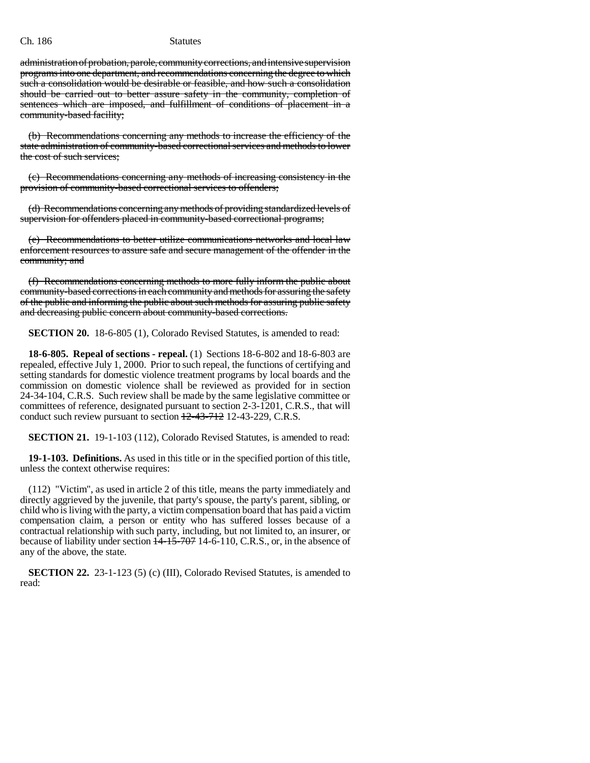administration of probation, parole, community corrections, and intensive supervision programs into one department, and recommendations concerning the degree to which such a consolidation would be desirable or feasible, and how such a consolidation should be carried out to better assure safety in the community, completion of sentences which are imposed, and fulfillment of conditions of placement in a community-based facility;

(b) Recommendations concerning any methods to increase the efficiency of the state administration of community-based correctional services and methods to lower the cost of such services;

(c) Recommendations concerning any methods of increasing consistency in the provision of community-based correctional services to offenders;

(d) Recommendations concerning any methods of providing standardized levels of supervision for offenders placed in community-based correctional programs;

(e) Recommendations to better utilize communications networks and local law enforcement resources to assure safe and secure management of the offender in the community; and

(f) Recommendations concerning methods to more fully inform the public about community-based corrections in each community and methods for assuring the safety of the public and informing the public about such methods for assuring public safety and decreasing public concern about community-based corrections.

**SECTION 20.** 18-6-805 (1), Colorado Revised Statutes, is amended to read:

**18-6-805. Repeal of sections - repeal.** (1) Sections 18-6-802 and 18-6-803 are repealed, effective July 1, 2000. Prior to such repeal, the functions of certifying and setting standards for domestic violence treatment programs by local boards and the commission on domestic violence shall be reviewed as provided for in section 24-34-104, C.R.S. Such review shall be made by the same legislative committee or committees of reference, designated pursuant to section 2-3-1201, C.R.S., that will conduct such review pursuant to section 12-43-712 12-43-229, C.R.S.

**SECTION 21.** 19-1-103 (112), Colorado Revised Statutes, is amended to read:

**19-1-103. Definitions.** As used in this title or in the specified portion of this title, unless the context otherwise requires:

(112) "Victim", as used in article 2 of this title, means the party immediately and directly aggrieved by the juvenile, that party's spouse, the party's parent, sibling, or child who is living with the party, a victim compensation board that has paid a victim compensation claim, a person or entity who has suffered losses because of a contractual relationship with such party, including, but not limited to, an insurer, or because of liability under section  $\frac{1}{4}$ -15-707 14-6-110, C.R.S., or, in the absence of any of the above, the state.

**SECTION 22.** 23-1-123 (5) (c) (III), Colorado Revised Statutes, is amended to read: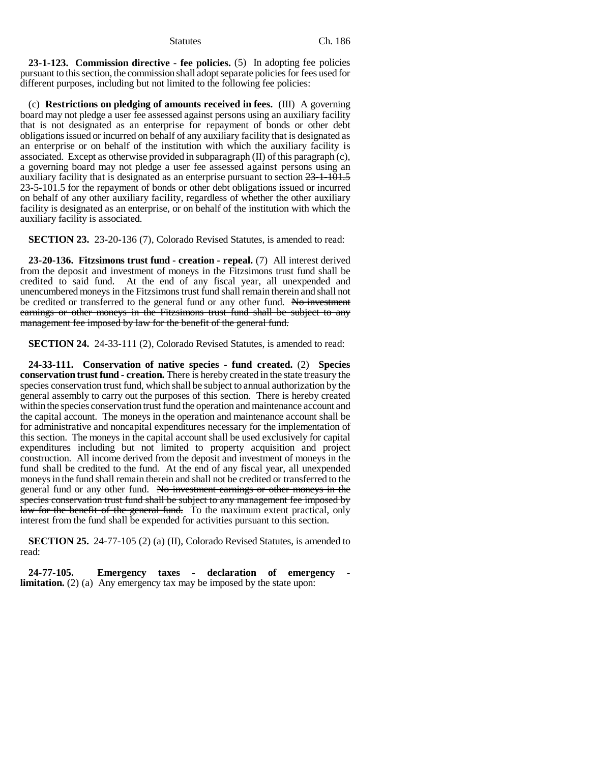**23-1-123. Commission directive - fee policies.** (5) In adopting fee policies pursuant to this section, the commission shall adopt separate policies for fees used for different purposes, including but not limited to the following fee policies:

(c) **Restrictions on pledging of amounts received in fees.** (III) A governing board may not pledge a user fee assessed against persons using an auxiliary facility that is not designated as an enterprise for repayment of bonds or other debt obligations issued or incurred on behalf of any auxiliary facility that is designated as an enterprise or on behalf of the institution with which the auxiliary facility is associated. Except as otherwise provided in subparagraph (II) of this paragraph (c), a governing board may not pledge a user fee assessed against persons using an auxiliary facility that is designated as an enterprise pursuant to section 23-1-101.5 23-5-101.5 for the repayment of bonds or other debt obligations issued or incurred on behalf of any other auxiliary facility, regardless of whether the other auxiliary facility is designated as an enterprise, or on behalf of the institution with which the auxiliary facility is associated.

**SECTION 23.** 23-20-136 (7), Colorado Revised Statutes, is amended to read:

**23-20-136. Fitzsimons trust fund - creation - repeal.** (7) All interest derived from the deposit and investment of moneys in the Fitzsimons trust fund shall be credited to said fund. At the end of any fiscal year, all unexpended and unencumbered moneys in the Fitzsimons trust fund shall remain therein and shall not be credited or transferred to the general fund or any other fund. No investment earnings or other moneys in the Fitzsimons trust fund shall be subject to any management fee imposed by law for the benefit of the general fund.

**SECTION 24.** 24-33-111 (2), Colorado Revised Statutes, is amended to read:

**24-33-111. Conservation of native species - fund created.** (2) **Species conservation trust fund - creation.** There is hereby created in the state treasury the species conservation trust fund, which shall be subject to annual authorization by the general assembly to carry out the purposes of this section. There is hereby created within the species conservation trust fund the operation and maintenance account and the capital account. The moneys in the operation and maintenance account shall be for administrative and noncapital expenditures necessary for the implementation of this section. The moneys in the capital account shall be used exclusively for capital expenditures including but not limited to property acquisition and project construction. All income derived from the deposit and investment of moneys in the fund shall be credited to the fund. At the end of any fiscal year, all unexpended moneys in the fund shall remain therein and shall not be credited or transferred to the general fund or any other fund. No investment earnings or other moneys in the species conservation trust fund shall be subject to any management fee imposed by law for the benefit of the general fund. To the maximum extent practical, only interest from the fund shall be expended for activities pursuant to this section.

**SECTION 25.** 24-77-105 (2) (a) (II), Colorado Revised Statutes, is amended to read:

**24-77-105. Emergency taxes - declaration of emergency limitation.** (2) (a) Any emergency tax may be imposed by the state upon: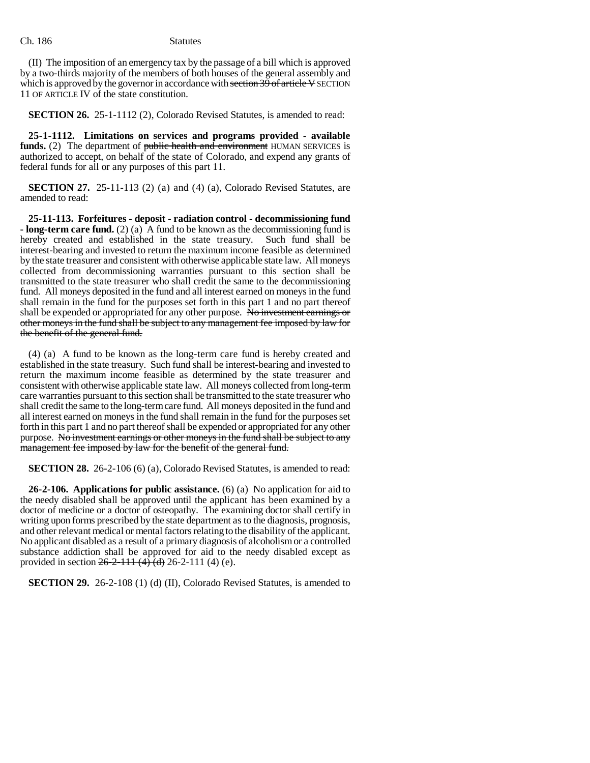(II) The imposition of an emergency tax by the passage of a bill which is approved by a two-thirds majority of the members of both houses of the general assembly and which is approved by the governor in accordance with section  $39$  of article V SECTION 11 OF ARTICLE IV of the state constitution.

**SECTION 26.** 25-1-1112 (2), Colorado Revised Statutes, is amended to read:

**25-1-1112. Limitations on services and programs provided - available funds.** (2) The department of public health and environment HUMAN SERVICES is authorized to accept, on behalf of the state of Colorado, and expend any grants of federal funds for all or any purposes of this part 11.

**SECTION 27.** 25-11-113 (2) (a) and (4) (a), Colorado Revised Statutes, are amended to read:

**25-11-113. Forfeitures - deposit - radiation control - decommissioning fund - long-term care fund.** (2) (a) A fund to be known as the decommissioning fund is hereby created and established in the state treasury. Such fund shall be interest-bearing and invested to return the maximum income feasible as determined by the state treasurer and consistent with otherwise applicable state law. All moneys collected from decommissioning warranties pursuant to this section shall be transmitted to the state treasurer who shall credit the same to the decommissioning fund. All moneys deposited in the fund and all interest earned on moneys in the fund shall remain in the fund for the purposes set forth in this part 1 and no part thereof shall be expended or appropriated for any other purpose. No investment earnings or other moneys in the fund shall be subject to any management fee imposed by law for the benefit of the general fund.

(4) (a) A fund to be known as the long-term care fund is hereby created and established in the state treasury. Such fund shall be interest-bearing and invested to return the maximum income feasible as determined by the state treasurer and consistent with otherwise applicable state law. All moneys collected from long-term care warranties pursuant to this section shall be transmitted to the state treasurer who shall credit the same to the long-term care fund. All moneys deposited in the fund and all interest earned on moneys in the fund shall remain in the fund for the purposes set forth in this part 1 and no part thereof shall be expended or appropriated for any other purpose. No investment earnings or other moneys in the fund shall be subject to any management fee imposed by law for the benefit of the general fund.

**SECTION 28.** 26-2-106 (6) (a), Colorado Revised Statutes, is amended to read:

**26-2-106. Applications for public assistance.** (6) (a) No application for aid to the needy disabled shall be approved until the applicant has been examined by a doctor of medicine or a doctor of osteopathy. The examining doctor shall certify in writing upon forms prescribed by the state department as to the diagnosis, prognosis, and other relevant medical or mental factors relating to the disability of the applicant. No applicant disabled as a result of a primary diagnosis of alcoholism or a controlled substance addiction shall be approved for aid to the needy disabled except as provided in section  $26-2-111(4)(d)$  26-2-111 (4) (e).

**SECTION 29.** 26-2-108 (1) (d) (II), Colorado Revised Statutes, is amended to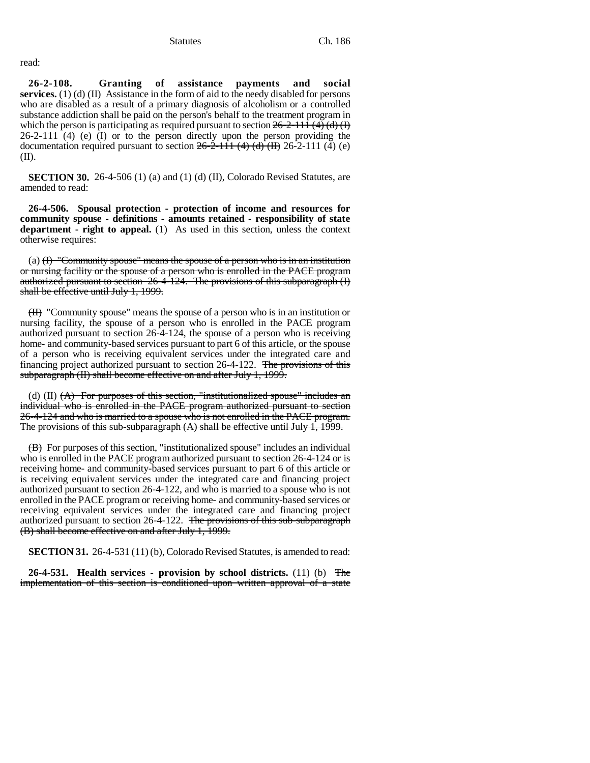read:

**26-2-108. Granting of assistance payments and social services.** (1) (d) (II) Assistance in the form of aid to the needy disabled for persons who are disabled as a result of a primary diagnosis of alcoholism or a controlled substance addiction shall be paid on the person's behalf to the treatment program in which the person is participating as required pursuant to section  $26-2-111 \cdot (4) \cdot (1)$ 26-2-111 (4) (e) (I) or to the person directly upon the person providing the documentation required pursuant to section  $26-2-111(4)$  (d)  $(H)$  26-2-111 (4) (e)  $(II)$ .

**SECTION 30.** 26-4-506 (1) (a) and (1) (d) (II), Colorado Revised Statutes, are amended to read:

**26-4-506. Spousal protection - protection of income and resources for community spouse - definitions - amounts retained - responsibility of state department - right to appeal.** (1) As used in this section, unless the context otherwise requires:

(a)  $(H)$  "Community spouse" means the spouse of a person who is in an institution or nursing facility or the spouse of a person who is enrolled in the PACE program authorized pursuant to section 26-4-124. The provisions of this subparagraph (I) shall be effective until July 1, 1999.

(II) "Community spouse" means the spouse of a person who is in an institution or nursing facility, the spouse of a person who is enrolled in the PACE program authorized pursuant to section 26-4-124, the spouse of a person who is receiving home- and community-based services pursuant to part 6 of this article, or the spouse of a person who is receiving equivalent services under the integrated care and financing project authorized pursuant to section 26-4-122. The provisions of this subparagraph (II) shall become effective on and after July 1, 1999.

(d)  $(II)$   $(A)$  For purposes of this section, "institutionalized spouse" includes an individual who is enrolled in the PACE program authorized pursuant to section 26-4-124 and who is married to a spouse who is not enrolled in the PACE program. The provisions of this sub-subparagraph (A) shall be effective until July 1, 1999.

(B) For purposes of this section, "institutionalized spouse" includes an individual who is enrolled in the PACE program authorized pursuant to section 26-4-124 or is receiving home- and community-based services pursuant to part 6 of this article or is receiving equivalent services under the integrated care and financing project authorized pursuant to section 26-4-122, and who is married to a spouse who is not enrolled in the PACE program or receiving home- and community-based services or receiving equivalent services under the integrated care and financing project authorized pursuant to section  $26-4-122$ . The provisions of this sub-subparagraph (B) shall become effective on and after July 1, 1999.

**SECTION 31.** 26-4-531 (11) (b), Colorado Revised Statutes, is amended to read:

**26-4-531. Health services - provision by school districts.** (11) (b) The implementation of this section is conditioned upon written approval of a state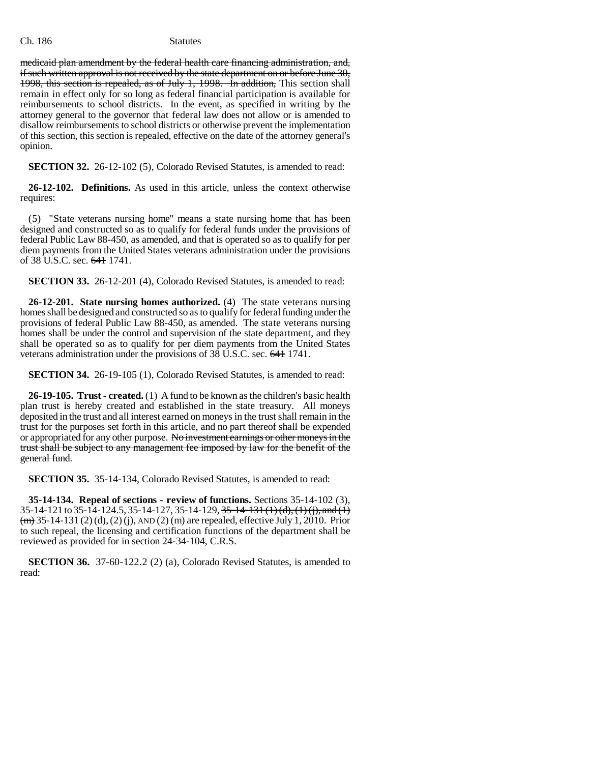medicaid plan amendment by the federal health care financing administration, and, if such written approval is not received by the state department on or before June 30, 1998, this section is repealed, as of July 1, 1998. In addition, This section shall remain in effect only for so long as federal financial participation is available for reimbursements to school districts. In the event, as specified in writing by the attorney general to the governor that federal law does not allow or is amended to disallow reimbursements to school districts or otherwise prevent the implementation of this section, this section is repealed, effective on the date of the attorney general's opinion.

**SECTION 32.** 26-12-102 (5), Colorado Revised Statutes, is amended to read:

**26-12-102. Definitions.** As used in this article, unless the context otherwise requires:

(5) "State veterans nursing home" means a state nursing home that has been designed and constructed so as to qualify for federal funds under the provisions of federal Public Law 88-450, as amended, and that is operated so as to qualify for per diem payments from the United States veterans administration under the provisions of 38 U.S.C. sec. 641 1741.

**SECTION 33.** 26-12-201 (4), Colorado Revised Statutes, is amended to read:

**26-12-201. State nursing homes authorized.** (4) The state veterans nursing homes shall be designed and constructed so as to qualify for federal funding under the provisions of federal Public Law 88-450, as amended. The state veterans nursing homes shall be under the control and supervision of the state department, and they shall be operated so as to qualify for per diem payments from the United States veterans administration under the provisions of 38 U.S.C. sec. 641 1741.

**SECTION 34.** 26-19-105 (1), Colorado Revised Statutes, is amended to read:

**26-19-105. Trust - created.** (1) A fund to be known as the children's basic health plan trust is hereby created and established in the state treasury. All moneys deposited in the trust and all interest earned on moneys in the trust shall remain in the trust for the purposes set forth in this article, and no part thereof shall be expended or appropriated for any other purpose. No investment earnings or other moneys in the trust shall be subject to any management fee imposed by law for the benefit of the general fund.

**SECTION 35.** 35-14-134, Colorado Revised Statutes, is amended to read:

**35-14-134. Repeal of sections - review of functions.** Sections 35-14-102 (3), 35-14-121 to 35-14-124.5, 35-14-127, 35-14-129, 35-14-131 (1) (d), (1) (i), and (1)  $(m)$  35-14-131 (2) (d), (2) (j), AND (2) (m) are repealed, effective July 1, 2010. Prior to such repeal, the licensing and certification functions of the department shall be reviewed as provided for in section 24-34-104, C.R.S.

**SECTION 36.** 37-60-122.2 (2) (a), Colorado Revised Statutes, is amended to read: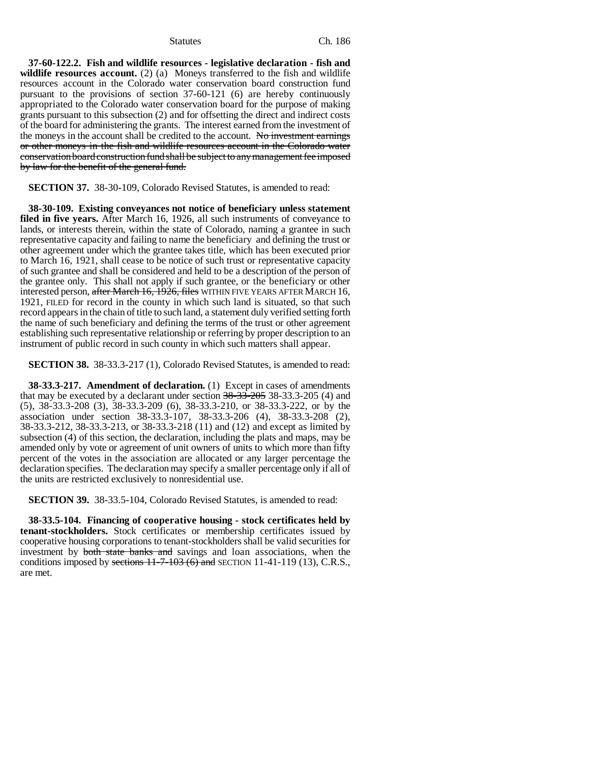**37-60-122.2. Fish and wildlife resources - legislative declaration - fish and wildlife resources account.** (2) (a) Moneys transferred to the fish and wildlife resources account in the Colorado water conservation board construction fund pursuant to the provisions of section 37-60-121 (6) are hereby continuously appropriated to the Colorado water conservation board for the purpose of making grants pursuant to this subsection (2) and for offsetting the direct and indirect costs of the board for administering the grants. The interest earned from the investment of the moneys in the account shall be credited to the account. No investment earnings or other moneys in the fish and wildlife resources account in the Colorado water conservation board construction fund shall be subject to any management fee imposed by law for the benefit of the general fund.

**SECTION 37.** 38-30-109, Colorado Revised Statutes, is amended to read:

**38-30-109. Existing conveyances not notice of beneficiary unless statement filed in five years.** After March 16, 1926, all such instruments of conveyance to lands, or interests therein, within the state of Colorado, naming a grantee in such representative capacity and failing to name the beneficiary and defining the trust or other agreement under which the grantee takes title, which has been executed prior to March 16, 1921, shall cease to be notice of such trust or representative capacity of such grantee and shall be considered and held to be a description of the person of the grantee only. This shall not apply if such grantee, or the beneficiary or other interested person, after March 16, 1926, files WITHIN FIVE YEARS AFTER MARCH 16, 1921, FILED for record in the county in which such land is situated, so that such record appears in the chain of title to such land, a statement duly verified setting forth the name of such beneficiary and defining the terms of the trust or other agreement establishing such representative relationship or referring by proper description to an instrument of public record in such county in which such matters shall appear.

**SECTION 38.** 38-33.3-217 (1), Colorado Revised Statutes, is amended to read:

**38-33.3-217. Amendment of declaration.** (1) Except in cases of amendments that may be executed by a declarant under section  $38-33-205$  38-33.3-205 (4) and (5), 38-33.3-208 (3), 38-33.3-209 (6), 38-33.3-210, or 38-33.3-222, or by the association under section 38-33.3-107, 38-33.3-206 (4), 38-33.3-208 (2), 38-33.3-212, 38-33.3-213, or 38-33.3-218 (11) and (12) and except as limited by subsection (4) of this section, the declaration, including the plats and maps, may be amended only by vote or agreement of unit owners of units to which more than fifty percent of the votes in the association are allocated or any larger percentage the declaration specifies. The declaration may specify a smaller percentage only if all of the units are restricted exclusively to nonresidential use.

**SECTION 39.** 38-33.5-104, Colorado Revised Statutes, is amended to read:

**38-33.5-104. Financing of cooperative housing - stock certificates held by tenant-stockholders.** Stock certificates or membership certificates issued by cooperative housing corporations to tenant-stockholders shall be valid securities for investment by both state banks and savings and loan associations, when the conditions imposed by sections  $11-7-103$  (6) and SECTION 11-41-119 (13), C.R.S., are met.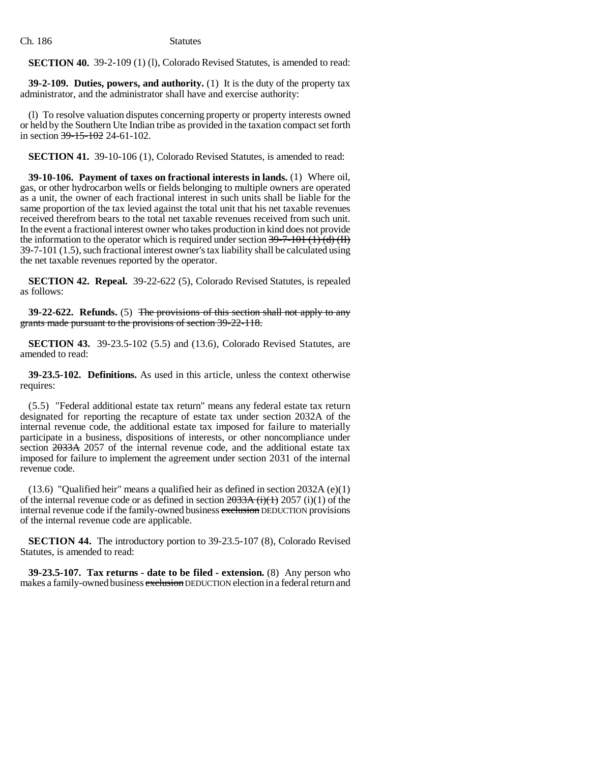**SECTION 40.** 39-2-109 (1) (1), Colorado Revised Statutes, is amended to read:

**39-2-109. Duties, powers, and authority.** (1) It is the duty of the property tax administrator, and the administrator shall have and exercise authority:

(l) To resolve valuation disputes concerning property or property interests owned or held by the Southern Ute Indian tribe as provided in the taxation compact set forth in section 39-15-102 24-61-102.

**SECTION 41.** 39-10-106 (1), Colorado Revised Statutes, is amended to read:

**39-10-106. Payment of taxes on fractional interests in lands.** (1) Where oil, gas, or other hydrocarbon wells or fields belonging to multiple owners are operated as a unit, the owner of each fractional interest in such units shall be liable for the same proportion of the tax levied against the total unit that his net taxable revenues received therefrom bears to the total net taxable revenues received from such unit. In the event a fractional interest owner who takes production in kind does not provide the information to the operator which is required under section  $39-7-101$  (1) (d) (II) 39-7-101 (1.5), such fractional interest owner's tax liability shall be calculated using the net taxable revenues reported by the operator.

**SECTION 42. Repeal.** 39-22-622 (5), Colorado Revised Statutes, is repealed as follows:

**39-22-622.** Refunds. (5) The provisions of this section shall not apply to any grants made pursuant to the provisions of section 39-22-118.

**SECTION 43.** 39-23.5-102 (5.5) and (13.6), Colorado Revised Statutes, are amended to read:

**39-23.5-102. Definitions.** As used in this article, unless the context otherwise requires:

(5.5) "Federal additional estate tax return" means any federal estate tax return designated for reporting the recapture of estate tax under section 2032A of the internal revenue code, the additional estate tax imposed for failure to materially participate in a business, dispositions of interests, or other noncompliance under section 2033A 2057 of the internal revenue code, and the additional estate tax imposed for failure to implement the agreement under section 2031 of the internal revenue code.

(13.6) "Qualified heir" means a qualified heir as defined in section 2032A (e)(1) of the internal revenue code or as defined in section  $2033A$  (i)(1) 2057 (i)(1) of the internal revenue code if the family-owned business exclusion DEDUCTION provisions of the internal revenue code are applicable.

**SECTION 44.** The introductory portion to 39-23.5-107 (8), Colorado Revised Statutes, is amended to read:

**39-23.5-107. Tax returns - date to be filed - extension.** (8) Any person who makes a family-owned business exclusion DEDUCTION election in a federal return and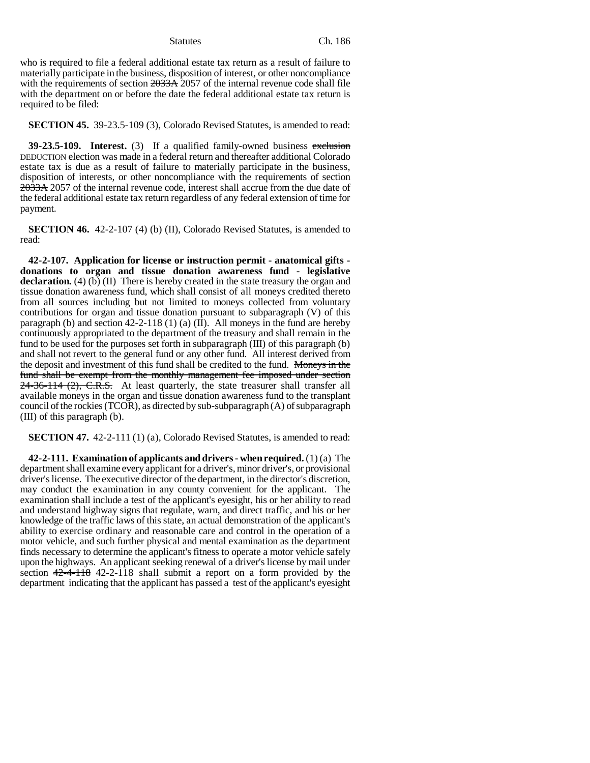who is required to file a federal additional estate tax return as a result of failure to materially participate in the business, disposition of interest, or other noncompliance with the requirements of section 2033A 2057 of the internal revenue code shall file with the department on or before the date the federal additional estate tax return is required to be filed:

**SECTION 45.** 39-23.5-109 (3), Colorado Revised Statutes, is amended to read:

**39-23.5-109.** Interest. (3) If a qualified family-owned business exclusion DEDUCTION election was made in a federal return and thereafter additional Colorado estate tax is due as a result of failure to materially participate in the business, disposition of interests, or other noncompliance with the requirements of section 2033A 2057 of the internal revenue code, interest shall accrue from the due date of the federal additional estate tax return regardless of any federal extension of time for payment.

**SECTION 46.** 42-2-107 (4) (b) (II), Colorado Revised Statutes, is amended to read:

**42-2-107. Application for license or instruction permit - anatomical gifts donations to organ and tissue donation awareness fund - legislative** declaration. (4) (b) (II) There is hereby created in the state treasury the organ and tissue donation awareness fund, which shall consist of all moneys credited thereto from all sources including but not limited to moneys collected from voluntary contributions for organ and tissue donation pursuant to subparagraph (V) of this paragraph (b) and section 42-2-118 (1) (a) (II). All moneys in the fund are hereby continuously appropriated to the department of the treasury and shall remain in the fund to be used for the purposes set forth in subparagraph (III) of this paragraph (b) and shall not revert to the general fund or any other fund. All interest derived from the deposit and investment of this fund shall be credited to the fund. Moneys in the fund shall be exempt from the monthly management fee imposed under section 24-36-114 (2), C.R.S. At least quarterly, the state treasurer shall transfer all available moneys in the organ and tissue donation awareness fund to the transplant council of the rockies (TCOR), as directed by sub-subparagraph (A) of subparagraph (III) of this paragraph (b).

**SECTION 47.** 42-2-111 (1) (a), Colorado Revised Statutes, is amended to read:

**42-2-111. Examination of applicants and drivers - when required.** (1) (a) The department shall examine every applicant for a driver's, minor driver's, or provisional driver's license. The executive director of the department, in the director's discretion, may conduct the examination in any county convenient for the applicant. The examination shall include a test of the applicant's eyesight, his or her ability to read and understand highway signs that regulate, warn, and direct traffic, and his or her knowledge of the traffic laws of this state, an actual demonstration of the applicant's ability to exercise ordinary and reasonable care and control in the operation of a motor vehicle, and such further physical and mental examination as the department finds necessary to determine the applicant's fitness to operate a motor vehicle safely upon the highways. An applicant seeking renewal of a driver's license by mail under section 42-4-118 42-2-118 shall submit a report on a form provided by the department indicating that the applicant has passed a test of the applicant's eyesight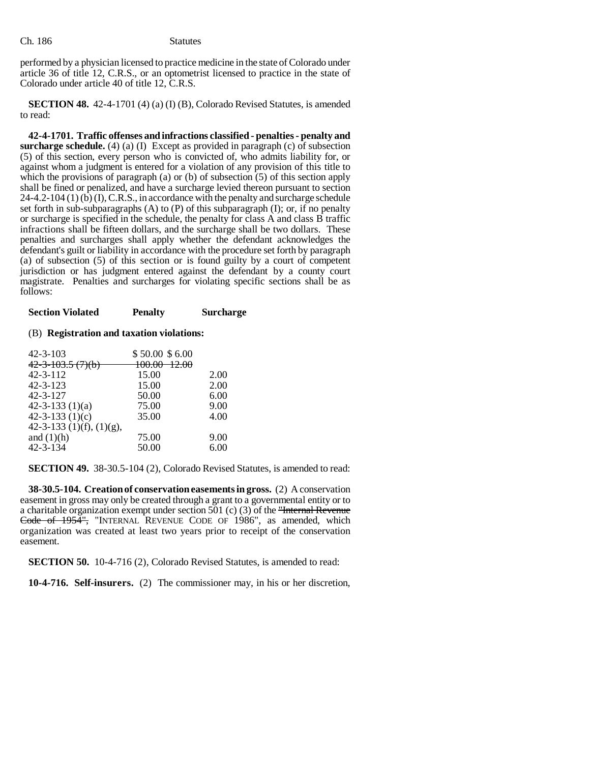performed by a physician licensed to practice medicine in the state of Colorado under article 36 of title 12, C.R.S., or an optometrist licensed to practice in the state of Colorado under article 40 of title 12, C.R.S.

**SECTION 48.** 42-4-1701 (4) (a) (I) (B), Colorado Revised Statutes, is amended to read:

**42-4-1701. Traffic offenses and infractions classified - penalties - penalty and surcharge schedule.** (4) (a) (I) Except as provided in paragraph (c) of subsection (5) of this section, every person who is convicted of, who admits liability for, or against whom a judgment is entered for a violation of any provision of this title to which the provisions of paragraph (a) or (b) of subsection  $(5)$  of this section apply shall be fined or penalized, and have a surcharge levied thereon pursuant to section  $24-4.2-104(1)$  (b) (I), C.R.S., in accordance with the penalty and surcharge schedule set forth in sub-subparagraphs  $(A)$  to  $(P)$  of this subparagraph  $(I)$ ; or, if no penalty or surcharge is specified in the schedule, the penalty for class A and class B traffic infractions shall be fifteen dollars, and the surcharge shall be two dollars. These penalties and surcharges shall apply whether the defendant acknowledges the defendant's guilt or liability in accordance with the procedure set forth by paragraph (a) of subsection (5) of this section or is found guilty by a court of competent jurisdiction or has judgment entered against the defendant by a county court magistrate. Penalties and surcharges for violating specific sections shall be as follows:

**Section Violated Penalty Surcharge**

# (B) **Registration and taxation violations:**

| 42-3-103                      | \$50.00\$6.00             |      |
|-------------------------------|---------------------------|------|
| 4 <del>2-3-103.5 (7)(b)</del> | <del>100.00 - 12.00</del> |      |
| 42-3-112                      | 15.00                     | 2.00 |
| 42-3-123                      | 15.00                     | 2.00 |
| 42-3-127                      | 50.00                     | 6.00 |
| $42 - 3 - 133(1)(a)$          | 75.00                     | 9.00 |
| $42 - 3 - 133(1)(c)$          | 35.00                     | 4.00 |
| $42-3-133$ (1)(f), (1)(g),    |                           |      |
| and $(1)(h)$                  | 75.00                     | 9.00 |
| 42-3-134                      | 50.00                     | 6.00 |
|                               |                           |      |

**SECTION 49.** 38-30.5-104 (2), Colorado Revised Statutes, is amended to read:

**38-30.5-104. Creation of conservation easements in gross.** (2) A conservation easement in gross may only be created through a grant to a governmental entity or to a charitable organization exempt under section 501 (c) (3) of the "Internal Revenue Code of 1954", "INTERNAL REVENUE CODE OF 1986", as amended, which organization was created at least two years prior to receipt of the conservation easement.

**SECTION 50.** 10-4-716 (2), Colorado Revised Statutes, is amended to read:

**10-4-716. Self-insurers.** (2) The commissioner may, in his or her discretion,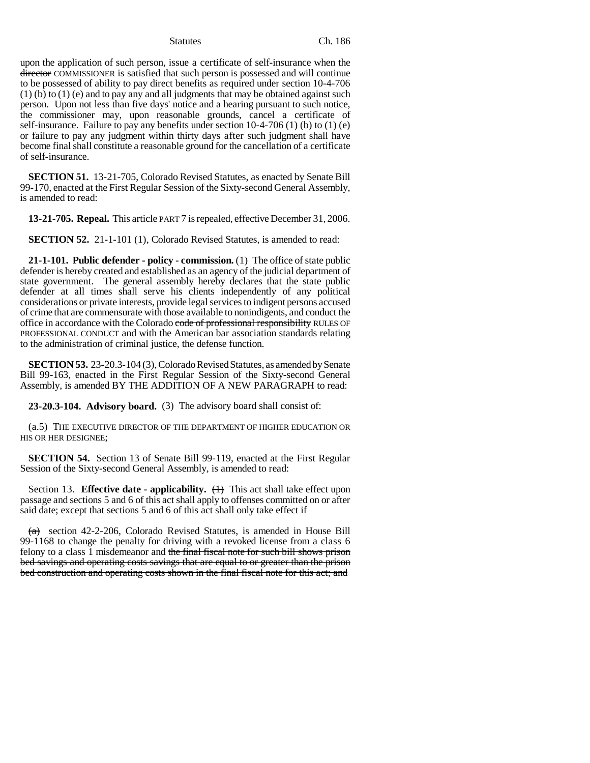upon the application of such person, issue a certificate of self-insurance when the director COMMISSIONER is satisfied that such person is possessed and will continue to be possessed of ability to pay direct benefits as required under section 10-4-706  $(1)$  (b) to  $(1)$  (e) and to pay any and all judgments that may be obtained against such person. Upon not less than five days' notice and a hearing pursuant to such notice, the commissioner may, upon reasonable grounds, cancel a certificate of self-insurance. Failure to pay any benefits under section 10-4-706 (1) (b) to (1) (e) or failure to pay any judgment within thirty days after such judgment shall have become final shall constitute a reasonable ground for the cancellation of a certificate of self-insurance.

**SECTION 51.** 13-21-705, Colorado Revised Statutes, as enacted by Senate Bill 99-170, enacted at the First Regular Session of the Sixty-second General Assembly, is amended to read:

**13-21-705. Repeal.** This article PART 7 is repealed, effective December 31, 2006.

**SECTION 52.** 21-1-101 (1), Colorado Revised Statutes, is amended to read:

**21-1-101. Public defender - policy - commission.** (1) The office of state public defender is hereby created and established as an agency of the judicial department of state government. The general assembly hereby declares that the state public defender at all times shall serve his clients independently of any political considerations or private interests, provide legal services to indigent persons accused of crime that are commensurate with those available to nonindigents, and conduct the office in accordance with the Colorado code of professional responsibility RULES OF PROFESSIONAL CONDUCT and with the American bar association standards relating to the administration of criminal justice, the defense function.

**SECTION 53.** 23-20.3-104 (3), Colorado Revised Statutes, as amended by Senate Bill 99-163, enacted in the First Regular Session of the Sixty-second General Assembly, is amended BY THE ADDITION OF A NEW PARAGRAPH to read:

**23-20.3-104. Advisory board.** (3) The advisory board shall consist of:

(a.5) THE EXECUTIVE DIRECTOR OF THE DEPARTMENT OF HIGHER EDUCATION OR HIS OR HER DESIGNEE;

**SECTION 54.** Section 13 of Senate Bill 99-119, enacted at the First Regular Session of the Sixty-second General Assembly, is amended to read:

Section 13. **Effective date - applicability.**  $(1)$  This act shall take effect upon passage and sections 5 and 6 of this act shall apply to offenses committed on or after said date; except that sections 5 and 6 of this act shall only take effect if

 $(a)$  section 42-2-206, Colorado Revised Statutes, is amended in House Bill 99-1168 to change the penalty for driving with a revoked license from a class 6 felony to a class 1 misdemeanor and the final fiscal note for such bill shows prison bed savings and operating costs savings that are equal to or greater than the prison bed construction and operating costs shown in the final fiscal note for this act; and